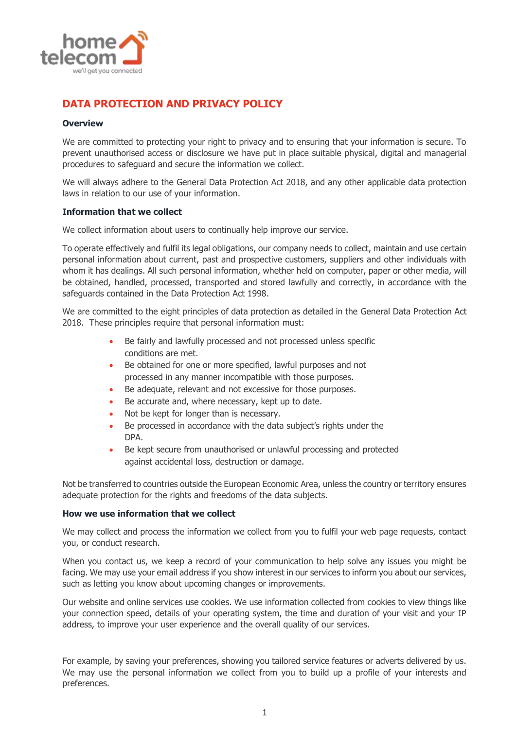

# **DATA PROTECTION AND PRIVACY POLICY**

# **Overview**

We are committed to protecting your right to privacy and to ensuring that your information is secure. To prevent unauthorised access or disclosure we have put in place suitable physical, digital and managerial procedures to safeguard and secure the information we collect.

We will always adhere to the General Data Protection Act 2018, and any other applicable data protection laws in relation to our use of your information.

# **Information that we collect**

We collect information about users to continually help improve our service.

To operate effectively and fulfil its legal obligations, our company needs to collect, maintain and use certain personal information about current, past and prospective customers, suppliers and other individuals with whom it has dealings. All such personal information, whether held on computer, paper or other media, will be obtained, handled, processed, transported and stored lawfully and correctly, in accordance with the safeguards contained in the Data Protection Act 1998.

We are committed to the eight principles of data protection as detailed in the General Data Protection Act 2018. These principles require that personal information must:

- Be fairly and lawfully processed and not processed unless specific conditions are met.
- Be obtained for one or more specified, lawful purposes and not processed in any manner incompatible with those purposes.
- Be adequate, relevant and not excessive for those purposes.
- Be accurate and, where necessary, kept up to date.
- Not be kept for longer than is necessary.
- Be processed in accordance with the data subject's rights under the DPA.
- Be kept secure from unauthorised or unlawful processing and protected against accidental loss, destruction or damage.

Not be transferred to countries outside the European Economic Area, unless the country or territory ensures adequate protection for the rights and freedoms of the data subjects.

## **How we use information that we collect**

We may collect and process the information we collect from you to fulfil your web page requests, contact you, or conduct research.

When you contact us, we keep a record of your communication to help solve any issues you might be facing. We may use your email address if you show interest in our services to inform you about our services, such as letting you know about upcoming changes or improvements.

Our website and online services use cookies. We use information collected from cookies to view things like your connection speed, details of your operating system, the time and duration of your visit and your IP address, to improve your user experience and the overall quality of our services.

For example, by saving your preferences, showing you tailored service features or adverts delivered by us. We may use the personal information we collect from you to build up a profile of your interests and preferences.